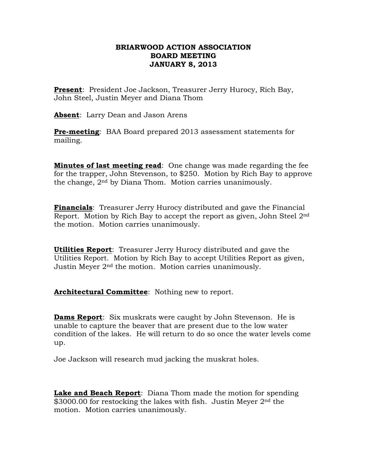## **BRIARWOOD ACTION ASSOCIATION BOARD MEETING JANUARY 8, 2013**

**Present**: President Joe Jackson, Treasurer Jerry Hurocy, Rich Bay, John Steel, Justin Meyer and Diana Thom

**Absent**: Larry Dean and Jason Arens

**Pre-meeting**: BAA Board prepared 2013 assessment statements for mailing.

**Minutes of last meeting read**: One change was made regarding the fee for the trapper, John Stevenson, to \$250. Motion by Rich Bay to approve the change, 2nd by Diana Thom. Motion carries unanimously.

**Financials**: Treasurer Jerry Hurocy distributed and gave the Financial Report. Motion by Rich Bay to accept the report as given, John Steel 2nd the motion. Motion carries unanimously.

**Utilities Report**: Treasurer Jerry Hurocy distributed and gave the Utilities Report. Motion by Rich Bay to accept Utilities Report as given, Justin Meyer 2nd the motion. Motion carries unanimously.

**Architectural Committee**: Nothing new to report.

**Dams Report**: Six muskrats were caught by John Stevenson. He is unable to capture the beaver that are present due to the low water condition of the lakes. He will return to do so once the water levels come up.

Joe Jackson will research mud jacking the muskrat holes.

**Lake and Beach Report**: Diana Thom made the motion for spending \$3000.00 for restocking the lakes with fish. Justin Meyer 2<sup>nd</sup> the motion. Motion carries unanimously.